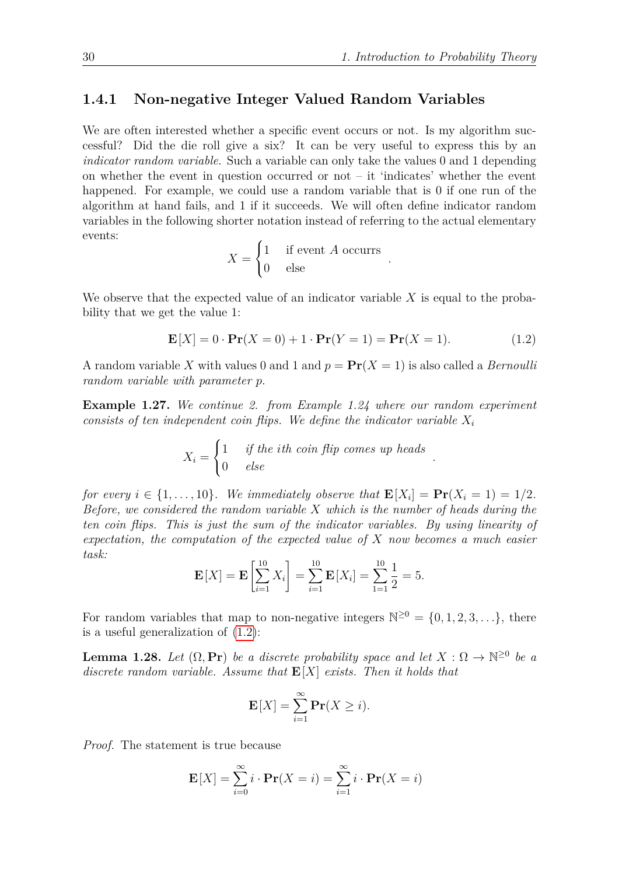*.*

## **1.4.1 Non-negative Integer Valued Random Variables**

We are often interested whether a specific event occurs or not. Is my algorithm successful? Did the die roll give a six? It can be very useful to express this by an *indicator random variable*. Such a variable can only take the values 0 and 1 depending on whether the event in question occurred or not  $-$  it 'indicates' whether the event happened. For example, we could use a random variable that is 0 if one run of the algorithm at hand fails, and 1 if it succeeds. We will often define indicator random variables in the following shorter notation instead of referring to the actual elementary events:

$$
X = \begin{cases} 1 & \text{if event } A \text{ occurs} \\ 0 & \text{else} \end{cases}
$$

We observe that the expected value of an indicator variable *X* is equal to the probability that we get the value 1:

$$
\mathbf{E}[X] = 0 \cdot \mathbf{Pr}(X = 0) + 1 \cdot \mathbf{Pr}(Y = 1) = \mathbf{Pr}(X = 1). \tag{1.2}
$$

<span id="page-0-0"></span>*.*

A random variable X with values 0 and 1 and  $p = Pr(X = 1)$  is also called a *Bernoulli random variable with parameter p*.

**Example 1.27.** *We continue 2. from Example 1.24 where our random experiment consists of ten independent coin flips. We define the indicator variable*  $X_i$ 

$$
X_i = \begin{cases} 1 & if the ith coin flip comes up heads \\ 0 & else \end{cases}
$$

*for every*  $i \in \{1, \ldots, 10\}$ *. We immediately observe that*  $\mathbf{E}[X_i] = \mathbf{Pr}(X_i = 1) = 1/2$ *. Before, we considered the random variable X which is the number of heads during the ten coin flips. This is just the sum of the indicator variables. By using linearity of expectation, the computation of the expected value of X now becomes a much easier task:*

$$
\mathbf{E}[X] = \mathbf{E}\left[\sum_{i=1}^{10} X_i\right] = \sum_{i=1}^{10} \mathbf{E}[X_i] = \sum_{1=1}^{10} \frac{1}{2} = 5.
$$

For random variables that map to non-negative integers  $\mathbb{N}^{\geq 0} = \{0, 1, 2, 3, \ldots\}$ , there is a useful generalization of [\(1.2\)](#page-0-0):

**Lemma 1.28.** *Let*  $(\Omega, \mathbf{Pr})$  *be a discrete probability space and let*  $X : \Omega \to \mathbb{N}^{\geq 0}$  *be a discrete random variable. Assume that* **E**[*X*] *exists. Then it holds that*

$$
\mathbf{E}[X] = \sum_{i=1}^{\infty} \mathbf{Pr}(X \ge i).
$$

*Proof.* The statement is true because

$$
\mathbf{E}[X] = \sum_{i=0}^{\infty} i \cdot \mathbf{Pr}(X = i) = \sum_{i=1}^{\infty} i \cdot \mathbf{Pr}(X = i)
$$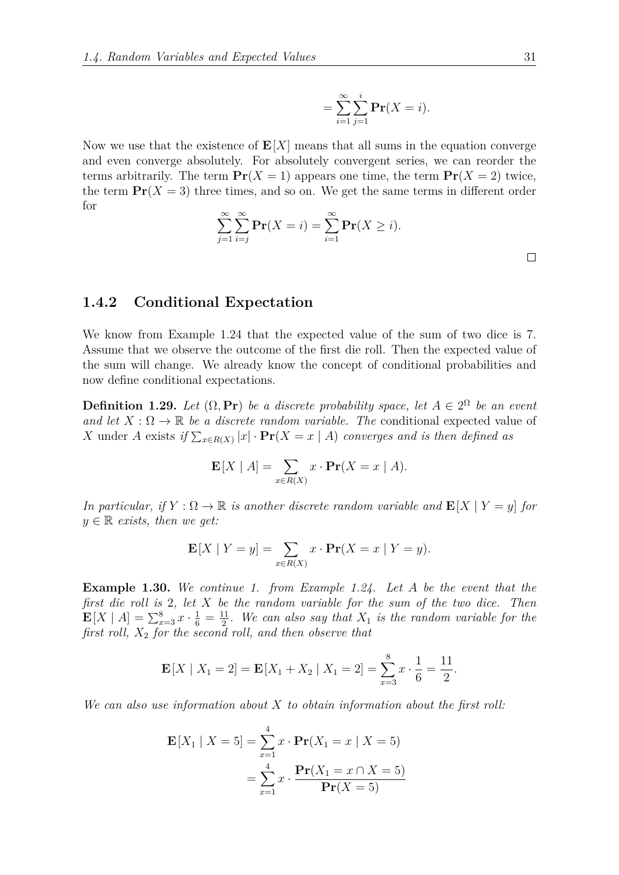$$
=\sum_{i=1}^{\infty}\sum_{j=1}^{i}\mathbf{Pr}(X=i).
$$

Now we use that the existence of  $E[X]$  means that all sums in the equation converge and even converge absolutely. For absolutely convergent series, we can reorder the terms arbitrarily. The term  $Pr(X = 1)$  appears one time, the term  $Pr(X = 2)$  twice, the term  $Pr(X = 3)$  three times, and so on. We get the same terms in different order for

$$
\sum_{j=1}^{\infty} \sum_{i=j}^{\infty} \mathbf{Pr}(X = i) = \sum_{i=1}^{\infty} \mathbf{Pr}(X \ge i).
$$

 $\Box$ 

## **1.4.2 Conditional Expectation**

We know from Example 1.24 that the expected value of the sum of two dice is 7. Assume that we observe the outcome of the first die roll. Then the expected value of the sum will change. We already know the concept of conditional probabilities and now define conditional expectations.

**Definition 1.29.** Let  $(\Omega, \textbf{Pr})$  be a discrete probability space, let  $A \in 2^{\Omega}$  be an event *and let*  $X : \Omega \to \mathbb{R}$  *be a discrete random variable. The* conditional expected value of *X* under *A* exists if  $\sum_{x \in R(X)} |x| \cdot \Pr(X = x | A)$  converges and is then defined as

$$
\mathbf{E}[X \mid A] = \sum_{x \in R(X)} x \cdot \mathbf{Pr}(X = x \mid A).
$$

*In particular, if*  $Y : \Omega \to \mathbb{R}$  *is another discrete random variable and*  $\mathbf{E}[X | Y = y]$  *for*  $y \in \mathbb{R}$  *exists, then we get:* 

$$
\mathbf{E}[X \mid Y=y] = \sum_{x \in R(X)} x \cdot \mathbf{Pr}(X=x \mid Y=y).
$$

**Example 1.30.** *We continue 1. from Example 1.24. Let A be the event that the first die roll is* 2*, let X be the random variable for the sum of the two dice. Then*  $\mathbf{E}[X \mid A] = \sum_{x=3}^{8} x \cdot \frac{1}{6} = \frac{11}{2}$  $\frac{11}{2}$ . We can also say that  $X_1$  is the random variable for the *first roll, X*<sup>2</sup> *for the second roll, and then observe that*

$$
\mathbf{E}[X \mid X_1 = 2] = \mathbf{E}[X_1 + X_2 \mid X_1 = 2] = \sum_{x=3}^{8} x \cdot \frac{1}{6} = \frac{11}{2}.
$$

*We can also use information about X to obtain information about the first roll:*

$$
\mathbf{E}[X_1 | X = 5] = \sum_{x=1}^{4} x \cdot \mathbf{Pr}(X_1 = x | X = 5)
$$

$$
= \sum_{x=1}^{4} x \cdot \frac{\mathbf{Pr}(X_1 = x \cap X = 5)}{\mathbf{Pr}(X = 5)}
$$